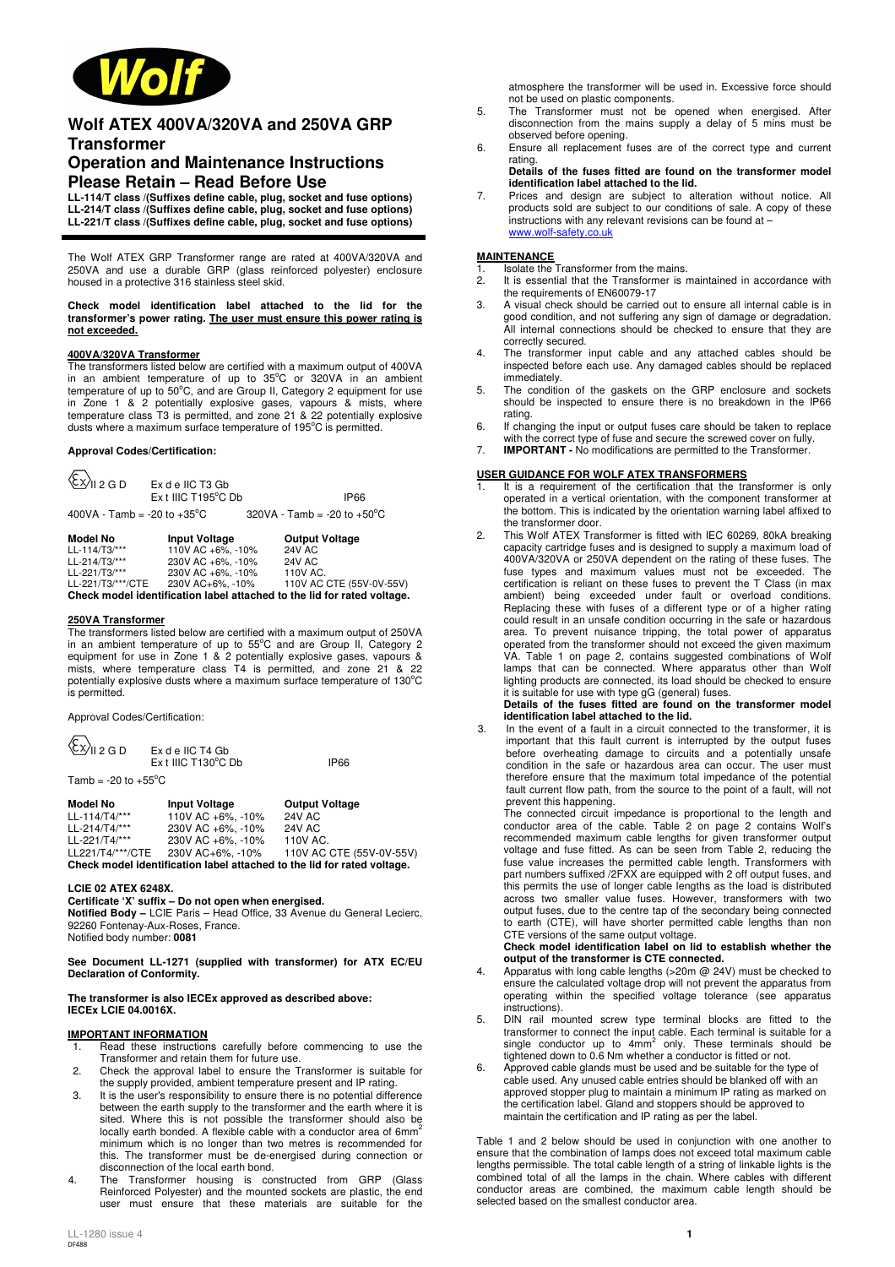

# **Wolf ATEX 400VA/320VA and 250VA GRP Transformer**

# **Operation and Maintenance Instructions Please Retain – Read Before Use**

**LL-114/T class /(Suffixes define cable, plug, socket and fuse options) LL-214/T class /(Suffixes define cable, plug, socket and fuse options) LL-221/T class /(Suffixes define cable, plug, socket and fuse options)** 

The Wolf ATEX GRP Transformer range are rated at 400VA/320VA and 250VA and use a durable GRP (glass reinforced polyester) enclosure housed in a protective 316 stainless steel skid.

#### **Check model identification label attached to the lid for the transformer's power rating. The user must ensure this power rating is not exceeded.**

#### **400VA/320VA Transformer**

The transformers listed below are certified with a maximum output of 400VA in an ambient temperature of up to  $35^{\circ}$ C or  $320\text{VA}$  in an ambient temperature of up to  $50^{\circ}$ C, and are Group II, Category 2 equipment for use in Zone 1 & 2 potentially explosive gases, vapours & mists, where temperature class T3 is permitted, and zone 21 & 22 potentially explosive dusts where a maximum surface temperature of 195°C is permitted.

### **Approval Codes/Certification:**

| $\langle$ $\langle x \rangle$ <sub>II 2 G D</sub> | Ex d e IIC T3 Gb<br>Ex t IIIC T195°C Db | <b>IP66</b>                                                             |
|---------------------------------------------------|-----------------------------------------|-------------------------------------------------------------------------|
| 400VA - Tamb = -20 to +35 $^{\circ}$ C            |                                         | $320VA - Tamb = -20 to +50°C$                                           |
| Model No                                          | <b>Input Voltage</b>                    | <b>Output Voltage</b>                                                   |
| LL-114/T3/***                                     | 110V AC +6%, -10%                       | <b>24V AC</b>                                                           |
| LL-214/T3/***                                     | 230V AC +6%, -10%                       | <b>24V AC</b>                                                           |
| LL-221/T3/***                                     | 230V AC +6%, -10%                       | 110V AC.                                                                |
| LL-221/T3/***/CTE                                 | 230V AC+6%, -10%                        | 110V AC CTE (55V-0V-55V)                                                |
|                                                   |                                         | Check model identification label attached to the lid for rated voltage. |

### **250VA Transformer**

The transformers listed below are certified with a maximum output of 250VA in an ambient temperature of up to  $55^{\circ}$ C and are Group II, Category 2 equipment for use in Zone 1 & 2 potentially explosive gases, vapours & mists, where temperature class T4 is permitted, and zone 21 & 22 potentially explosive dusts where a maximum surface temperature of 130°C is permitted.

Approval Codes/Certification:

 $\sqrt{2}$  $\overline{\phantom{0}}$ 

| \ <sup>CX/</sup> II 2 G D      | Ex de IIC T4 Gb<br>$Ex$ t IIIC T130 $^{\circ}$ C Db | IP66 |
|--------------------------------|-----------------------------------------------------|------|
| Tamb = -20 to +55°C $^{\circ}$ |                                                     |      |

| Model No                                                                | <b>Input Voltage</b> | <b>Output Voltage</b>    |  |  |
|-------------------------------------------------------------------------|----------------------|--------------------------|--|--|
| LL-114/T4/***                                                           | 110V AC +6%. -10%    | <b>24V AC</b>            |  |  |
| LL-214/T4/***                                                           | 230V AC +6%. -10%    | 24V AC                   |  |  |
| LL-221/T4/***                                                           | 230V AC +6%. -10%    | 110V AC.                 |  |  |
| LL221/T4/***/CTE                                                        | 230V AC+6%. -10%     | 110V AC CTE (55V-0V-55V) |  |  |
| Check model identification label attached to the lid for rated voltage. |                      |                          |  |  |

### **LCIE 02 ATEX 6248X.**

**Certificate 'X' suffix – Do not open when energised.** 

**Notified Body –** LCIE Paris – Head Office, 33 Avenue du General Lecierc, 92260 Fontenay-Aux-Roses, France.

Notified body number: **0081** 

**See Document LL-1271 (supplied with transformer) for ATX EC/EU Declaration of Conformity.**

#### **The transformer is also IECEx approved as described above: IECEx LCIE 04.0016X.**

### **IMPORTANT INFORMATION**

- Read these instructions carefully before commencing to use the Transformer and retain them for future use.
- 2. Check the approval label to ensure the Transformer is suitable for the supply provided, ambient temperature present and IP rating.
- 3. It is the user's responsibility to ensure there is no potential difference between the earth supply to the transformer and the earth where it is sited. Where this is not possible the transformer should also be locally earth bonded. A flexible cable with a conductor area of 6mm<sup>2</sup> minimum which is no longer than two metres is recommended for this. The transformer must be de-energised during connection or disconnection of the local earth bond.
- 4. The Transformer housing is constructed from GRP (Glass Reinforced Polyester) and the mounted sockets are plastic, the end user must ensure that these materials are suitable for the

atmosphere the transformer will be used in. Excessive force should not be used on plastic components.

- 5. The Transformer must not be opened when energised. After disconnection from the mains supply a delay of 5 mins must be observed before opening.
- 6. Ensure all replacement fuses are of the correct type and current rating. **Details of the fuses fitted are found on the transformer model**
- **identification label attached to the lid.** 7. Prices and design are subject to alteration without notice. All
- products sold are subject to our conditions of sale. A copy of these instructions with any relevant revisions can be found at – www.wolf-safety.co.uk

### **MAINTENANCE**

1. Isolate the Transformer from the mains.<br>2 It is essential that the Transformer is r

- 2. It is essential that the Transformer is maintained in accordance with the requirements of EN60079-17
- 3. A visual check should be carried out to ensure all internal cable is in good condition, and not suffering any sign of damage or degradation. All internal connections should be checked to ensure that they are correctly secured.
- 4. The transformer input cable and any attached cables should be inspected before each use. Any damaged cables should be replaced immediately.
- 5. The condition of the gaskets on the GRP enclosure and sockets should be inspected to ensure there is no breakdown in the IP66 rating.
- 6. If changing the input or output fuses care should be taken to replace with the correct type of fuse and secure the screwed cover on fully.
- 7. **IMPORTANT** No modifications are permitted to the Transformer.

### **USER GUIDANCE FOR WOLF ATEX TRANSFORMERS**

- It is a requirement of the certification that the transformer is only operated in a vertical orientation, with the component transformer at the bottom. This is indicated by the orientation warning label affixed to the transformer door.
- 2. This Wolf ATEX Transformer is fitted with IEC 60269, 80kA breaking capacity cartridge fuses and is designed to supply a maximum load of 400VA/320VA or 250VA dependent on the rating of these fuses. The fuse types and maximum values must not be exceeded. The certification is reliant on these fuses to prevent the T Class (in max ambient) being exceeded under fault or overload conditions. Replacing these with fuses of a different type or of a higher rating could result in an unsafe condition occurring in the safe or hazardous area. To prevent nuisance tripping, the total power of apparatus operated from the transformer should not exceed the given maximum VA. Table 1 on page 2, contains suggested combinations of Wolf lamps that can be connected. Where apparatus other than Wolf lighting products are connected, its load should be checked to ensure it is suitable for use with type gG (general) fuses.

### **Details of the fuses fitted are found on the transformer model identification label attached to the lid.**

3. In the event of a fault in a circuit connected to the transformer, it is important that this fault current is interrupted by the output fuses before overheating damage to circuits and a potentially unsafe condition in the safe or hazardous area can occur. The user must therefore ensure that the maximum total impedance of the potential fault current flow path, from the source to the point of a fault, will not prevent this happening.

The connected circuit impedance is proportional to the length and conductor area of the cable. Table 2 on page 2 contains Wolf's recommended maximum cable lengths for given transformer output voltage and fuse fitted. As can be seen from Table 2, reducing the fuse value increases the permitted cable length. Transformers with part numbers suffixed /2FXX are equipped with 2 off output fuses, and this permits the use of longer cable lengths as the load is distributed across two smaller value fuses. However, transformers with two output fuses, due to the centre tap of the secondary being connected to earth (CTE), will have shorter permitted cable lengths than non

# CTE versions of the same output voltage. **Check model identification label on lid to establish whether the output of the transformer is CTE connected.**

- 4. Apparatus with long cable lengths (>20m @ 24V) must be checked to ensure the calculated voltage drop will not prevent the apparatus from operating within the specified voltage tolerance (see apparatus instructions).
- 5. DIN rail mounted screw type terminal blocks are fitted to the transformer to connect the input cable. Each terminal is suitable for a<br>single conductor up to 4mm<sup>2</sup> only. These terminals should be tightened down to 0.6 Nm whether a conductor is fitted or not.
- Approved cable glands must be used and be suitable for the type of cable used. Any unused cable entries should be blanked off with an approved stopper plug to maintain a minimum IP rating as marked on the certification label. Gland and stoppers should be approved to maintain the certification and IP rating as per the label.

Table 1 and 2 below should be used in conjunction with one another to ensure that the combination of lamps does not exceed total maximum cable lengths permissible. The total cable length of a string of linkable lights is the combined total of all the lamps in the chain. Where cables with different conductor areas are combined, the maximum cable length should be selected based on the smallest conductor area.